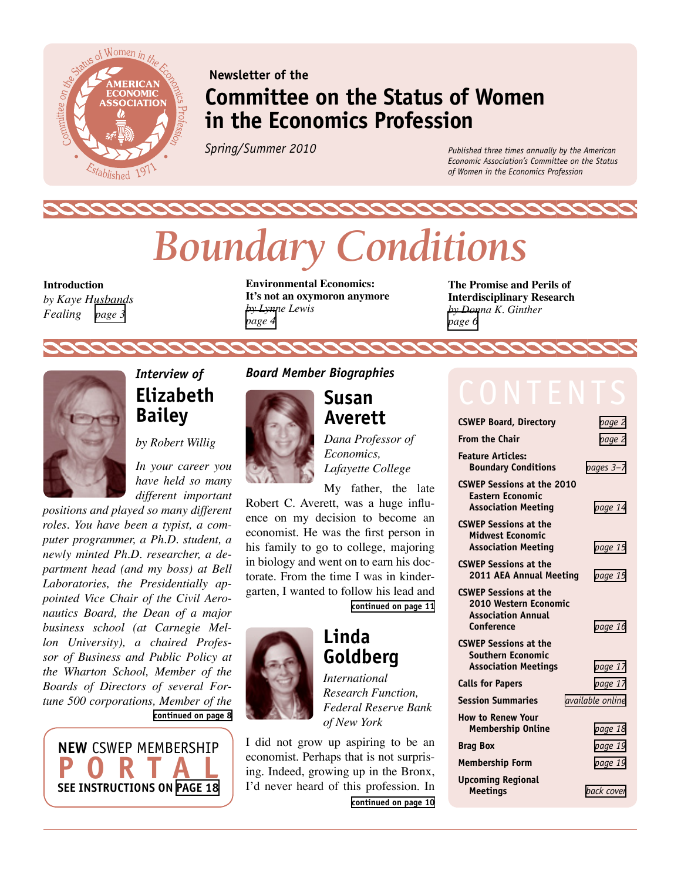

## **Newsletter of the Committee on the Status of Women in the Economics Profession**

*Spring/Summer 2010*

*Published three times annually by the American Economic Association's Committee on the Status of Women in the Economics Profession*

# *Boundary Conditions*

**Introduction**  *by Kaye Husbands Fealing [page 3](#page-1-1)*

**Environmental Economics: It's not an oxymoron anymore**  *by Lynne Lewis [page 4](#page-2-0)*

**The Promise and Perils of Interdisciplinary Research** *by Donna K. Ginther [page 6](#page-3-0)*



## <span id="page-0-0"></span>*Interview of*  **Elizabeth Bailey**

*by Robert Willig*

*In your career you have held so many different important* 

*positions and played so many different roles. You have been a typist, a computer programmer, a Ph.D. student, a newly minted Ph.D. researcher, a department head (and my boss) at Bell Laboratories, the Presidentially appointed Vice Chair of the Civil Aeronautics Board, the Dean of a major business school (at Carnegie Mellon University), a chaired Professor of Business and Public Policy at the Wharton School, Member of the Boards of Directors of several Fortune 500 corporations, Member of the*  **[continued on page 8](#page-4-0)**



#### *Board Member Biographies*



### <span id="page-0-1"></span>**Susan Averett**

*Dana Professor of Economics, Lafayette College*

My father, the late Robert C. Averett, was a huge influence on my decision to become an economist. He was the first person in his family to go to college, majoring in biology and went on to earn his doctorate. From the time I was in kindergarten, I wanted to follow his lead and

**[continued on page 11](#page-5-0)**

## <span id="page-0-2"></span>**Linda Goldberg**



*International Research Function, Federal Reserve Bank of New York*

**[continued on page 10](#page-5-1)** I did not grow up aspiring to be an economist. Perhaps that is not surprising. Indeed, growing up in the Bronx, I'd never heard of this profession. In

| <b>CSWEP Board, Directory</b>                                                                    | page 2                  |
|--------------------------------------------------------------------------------------------------|-------------------------|
| <b>From the Chair</b>                                                                            | page 2                  |
| <b>Feature Articles:</b><br><b>Boundary Conditions</b>                                           | pages 3-7               |
| <b>CSWEP Sessions at the 2010</b><br><b>Eastern Economic</b><br><b>Association Meeting</b>       | page 14                 |
| <b>CSWEP Sessions at the</b><br><b>Midwest Economic</b><br><b>Association Meeting</b>            | page 15                 |
| <b>CSWEP Sessions at the</b><br>2011 AEA Annual Meeting                                          | page 15                 |
| <b>CSWEP Sessions at the</b><br>2010 Western Economic<br><b>Association Annual</b><br>Conference | page 16                 |
| <b>CSWEP Sessions at the</b><br><b>Southern Economic</b><br><b>Association Meetings</b>          | page 17                 |
| <b>Calls for Papers</b>                                                                          | page 17                 |
| <b>Session Summaries</b>                                                                         | <i>available online</i> |
| <b>How to Renew Your</b><br><b>Membership Online</b>                                             | page 18                 |
| <b>Brag Box</b>                                                                                  | page 19                 |
| <b>Membership Form</b>                                                                           | page 19                 |
| <b>Upcoming Regional</b><br><b>Meetings</b>                                                      | back cover              |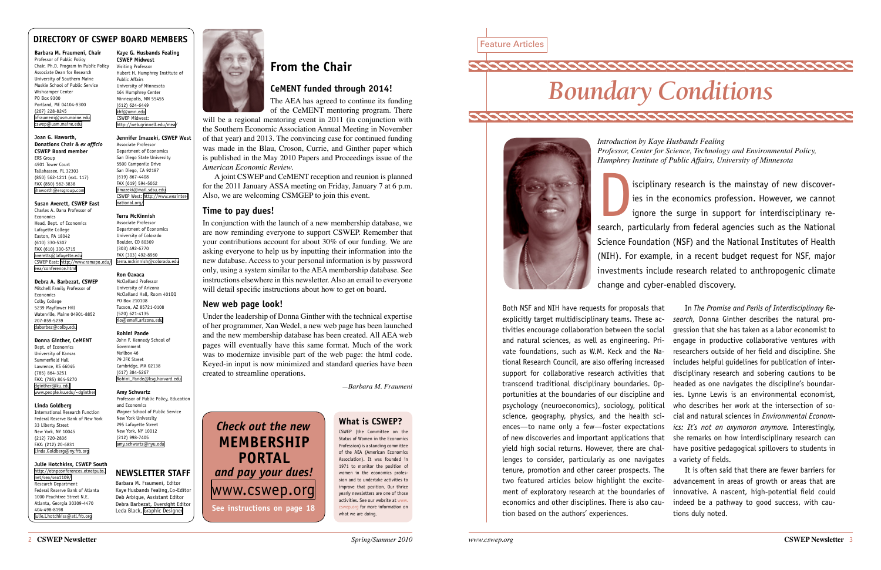

## Feature Articles



<span id="page-1-1"></span>*Introduction by Kaye Husbands Fealing Professor, Center for Science, Technology and Environmental Policy, Humphrey Institute of Public Affairs, University of Minnesota*

isciplinary research is the mainstay of new discover-<br>ies in the economics profession. However, we cannot<br>ignore the surge in support for interdisciplinary re-<br>search particularly from federal agencies such as the National ies in the economics profession. However, we cannot ignore the surge in support for interdisciplinary research, particularly from federal agencies such as the National Science Foundation (NSF) and the National Institutes of Health (NIH). For example, in a recent budget request for NSF, major investments include research related to anthropogenic climate change and cyber-enabled discovery.

will be a regional mentoring event in 2011 (in conjunction with the Southern Economic Association Annual Meeting in November of that year) and 2013. The convincing case for continued funding was made in the Blau, Croson, Currie, and Ginther paper which is published in the May 2010 Papers and Proceedings issue of the *American Economic Review.*

In conjunction with the launch of a new membership database, we are now reminding everyone to support CSWEP. Remember that your contributions account for about 30% of our funding. We are asking everyone to help us by inputting their information into the new database. Access to your personal information is by password only, using a system similar to the AEA membership database. See instructions elsewhere in this newsletter. Also an email to everyone will detail specific instructions about how to get on board.

## **From the Chair**

### **CeMENT funded through 2014!**

The AEA has agreed to continue its funding of the CeMENT mentoring program. There

A joint CSWEP and CeMENT reception and reunion is planned for the 2011 January ASSA meeting on Friday, January 7 at 6 p.m. Also, we are welcoming CSMGEP to join this event.

#### **Time to pay dues!**

#### **New web page look!**

Under the leadership of Donna Ginther with the technical expertise of her programmer, Xan Wedel, a new web page has been launched and the new membership database has been created. All AEA web pages will eventually have this same format. Much of the work was to modernize invisible part of the web page: the html code. Keyed-in input is now minimized and standard queries have been created to streamline operations.

*—Barbara M. Fraumeni*

### <span id="page-1-0"></span>**DIRECTORY OF CSWEP BOARD MEMBERS**

**Barbara M. Fraumeni, Chair** Professor of Public Policy Chair, Ph.D. Program in Public Policy Associate Dean for Research University of Southern Maine Muskie School of Public Service Wishcamper Center PO Box 9300 Portland, ME 04104-9300 (207) 228-8245 [bfraumeni@usm.maine.edu](mailto:bfraumeni@usm.maine.edu) [cswep@usm.maine.edu](mailto:cswep@usm.maine.edu)

#### **Joan G. Haworth, Donations Chair &** *ex officio*  **CSWEP Board member** ERS Group

4901 Tower Court Tallahassee, FL 32303 (850) 562-1211 (ext. 117) FAX (850) 562-3838 [jhaworth@ersgroup.com](mailto:jhaworth@ersgroup.com)

### **Susan Averett, CSWEP East**

Charles A. Dana Professor of Economics Head, Dept. of Economics Lafayette College Easton, PA 18042 (610) 330-5307 FAX (610) 330-5715 [averetts@lafayette.edu](mailto:averetts@lafayette.edu) CSWEP East: [http://www.ramapo.edu/](http://www.ramapo.edu/eea/conference.html) [eea/conference.html](http://www.ramapo.edu/eea/conference.html)

#### **Debra A. Barbezat, CSWEP**

Mitchell Family Professor of Economics Colby College 5239 Mayflower Hill Waterville, Maine 04901-8852 207-859-5239 [dabarbez@colby.edu](mailto:dabarbez@colby.edu)

#### **Donna Ginther, CeMENT**

Dept. of Economics University of Kansas Summerfield Hall Lawrence, KS 66045 (785) 864-3251 FAX: (785) 864-5270 [dginther@ku.edu](mailto:dginther@ku.edu) [www.people.ku.edu/~dginther](http://www.people.ku.edu/~dginther)

#### **Linda Goldberg**

International Research Function Federal Reserve Bank of New York 33 Liberty Street New York, NY 10045 (212) 720-2836 FAX: (212) 20-6831 [Linda.Goldberg@ny.frb.org](mailto:Linda.Goldberg@ny.frb.org)

#### **Julie Hotchkiss, CSWEP South**

[http://etnpconferences.etnetpubs.](http://etnpconferences.etnetpubs.net/sea/sea1109/) [net/sea/sea1109/](http://etnpconferences.etnetpubs.net/sea/sea1109/) Research Department Federal Reserve Bank of Atlanta 1000 Peachtree Street N.E. Atlanta, Georgia 30309-4470 404-498-8198 [julie.l.hotchkiss@atl.frb.org](mailto:julie.l.hotchkiss@atl.frb.org)

#### **What is CSWEP?**

CSWEP (the Committee on the Status of Women in the Economics Profession) is a standing committee of the AEA (American Economics Association). It was founded in 1971 to monitor the position of women in the economics profession and to undertake activities to improve that position. Our thrice yearly newsletters are one of those activities. See our website at [www.](http://www.cswep.org) [cswep.org](http://www.cswep.org) for more information on what we are doing.

## **NEWSLETTER STAFF**

Barbara M. Fraumeni, Editor Kaye Husbands Fealing, Co-Editor Deb Arbique, Assistant Editor Debra Barbezat, Oversight Editor Leda Black, [Graphic Designer]( mailto:cswep@usm.maine.edu)



#### **Kaye G. Husbands Fealing CSWEP Midwest**  Visiting Professor Hubert H. Humphrey Institute of Public Affairs

University of Minnesota 164 Humphrey Center Minneapolis, MN 55455 (612) 624-6449 [khf@umn.edu](mailto:khf@umn.edu) CSWEP Midwest: <http://web.grinnell.edu/mea/>

#### **Jennifer Imazeki, CSWEP West**

Associate Professor Department of Economics San Diego State University 5500 Camponile Drive San Diego, CA 92187 (619) 867-4408 FAX (619) 594-5062 [jimazeki@mail.sdsu.edu](mailto:jimazeki@mail.sdsu.edu) CSWEP West: [http://www.weainter](http://www.weainternational.org/)[national.org/](http://www.weainternational.org/)

#### **Terra McKinnish**

Associate Professor Department of Economics University of Colorado Boulder, CO 80309 (303) 492-6770 FAX (303) 492-8960 [terra.mckinnish@colorado.edu](mailto:terra.mckinnish@colorado.edu)

#### **Ron Oaxaca**

McClelland Professor University of Arizona McClelland Hall, Room 401QQ PO Box 210108 Tucson, AZ 85721-0108 (520) 621-4135 [rlo@email.arizona.edu](mailto:rlo@email.arizona.edu)

## **Rohini Pande** Government Mailbox 46 79 JFK Street

John F. Kennedy School of Cambridge, MA 02138 (617) 384-5267 [Rohini\\_Pande@ksg.harvard.edu](mailto:Rohini_Pande@ksg.harvard.edu)

#### **Amy Schwartz**

Professor of Public Policy, Education and Economics Wagner School of Public Service New York University 295 Lafayette Street New York, NY 10012 (212) 998-7405 [amy.schwartz@nyu.edu](mailto:amy.schwartz@nyu.edu)

Both NSF and NIH have requests for proposals that explicitly target multidisciplinary teams. These activities encourage collaboration between the social and natural sciences, as well as engineering. Private foundations, such as W.M. Keck and the National Research Council, are also offering increased support for collaborative research activities that transcend traditional disciplinary boundaries. Opportunities at the boundaries of our discipline and psychology (neuroeconomics), sociology, political science, geography, physics, and the health sciences—to name only a few—foster expectations of new discoveries and important applications that yield high social returns. However, there are challenges to consider, particularly as one navigates tenure, promotion and other career prospects. The two featured articles below highlight the excitement of exploratory research at the boundaries of economics and other disciplines. There is also caution based on the authors' experiences. In *The Promise and Perils of Interdisciplinary Research,* Donna Ginther describes the natural progression that she has taken as a labor economist to engage in productive collaborative ventures with researchers outside of her field and discipline. She includes helpful guidelines for publication of interdisciplinary research and sobering cautions to be headed as one navigates the discipline's boundaries. Lynne Lewis is an environmental economist, who describes her work at the intersection of social and natural sciences in *Environmental Economics: It's not an oxymoron anymore.* Interestingly, she remarks on how interdisciplinary research can have positive pedagogical spillovers to students in a variety of fields. It is often said that there are fewer barriers for advancement in areas of growth or areas that are innovative. A nascent, high-potential field could indeed be a pathway to good success, with cautions duly noted.

*Check out the new*

**membership**

**portal** 

*and pay your dues!*

[www.cswep.org](http://www.cswep.org)

**See instructions on page 18**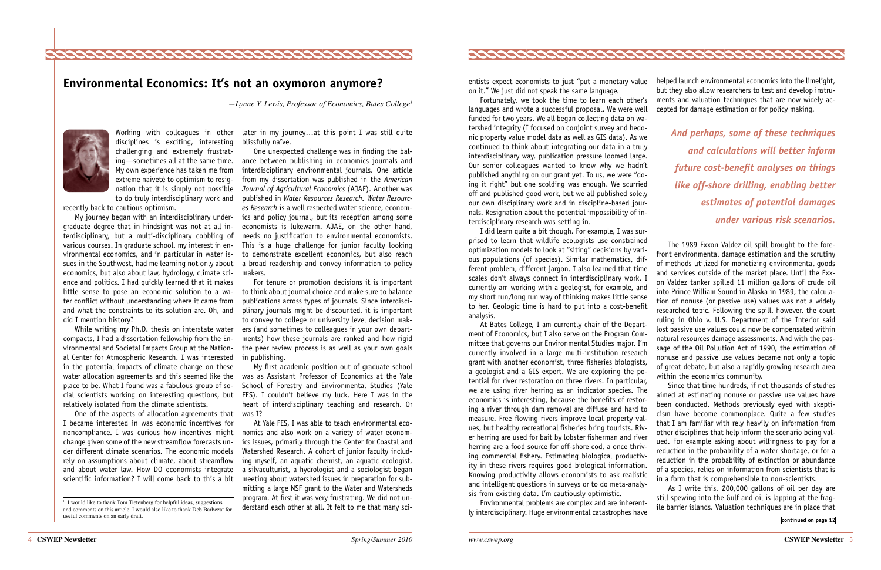Working with colleagues in other later in my journey...at this point I was still quite blissfully naïve.

> One unexpected challenge was in finding the balance between publishing in economics journals and interdisciplinary environmental journals. One article from my dissertation was published in the *American Journal of Agricultural Economics* (AJAE). Another was published in *Water Resources Research. Water Resources Research* is a well respected water science, economics and policy journal, but its reception among some economists is lukewarm. AJAE, on the other hand, needs no justification to environmental economists. This is a huge challenge for junior faculty looking to demonstrate excellent economics, but also reach a broad readership and convey information to policy makers.

> For tenure or promotion decisions it is important to think about journal choice and make sure to balance publications across types of journals. Since interdisciplinary journals might be discounted, it is important to convey to college or university level decision makers (and sometimes to colleagues in your own departments) how these journals are ranked and how rigid the peer review process is as well as your own goals in publishing.

> My first academic position out of graduate school was as Assistant Professor of Economics at the Yale School of Forestry and Environmental Studies (Yale FES). I couldn't believe my luck. Here I was in the heart of interdisciplinary teaching and research. Or

> At Yale FES, I was able to teach environmental economics and also work on a variety of water economics issues, primarily through the Center for Coastal and Watershed Research. A cohort of junior faculty including myself, an aquatic chemist, an aquatic ecologist, a silvaculturist, a hydrologist and a sociologist began meeting about watershed issues in preparation for submitting a large NSF grant to the Water and Watersheds program. At first it was very frustrating. We did not understand each other at all. It felt to me that many sci-



One of the aspects of allocation agreements that was I? I became interested in was economic incentives for noncompliance. I was curious how incentives might change given some of the new streamflow forecasts under different climate scenarios. The economic models rely on assumptions about climate, about streamflow and about water law. How DO economists integrate scientific information? I will come back to this a bit

disciplines is exciting, interesting challenging and extremely frustrating—sometimes all at the same time. My own experience has taken me from extreme naiveté to optimism to resignation that it is simply not possible to do truly interdisciplinary work and

recently back to cautious optimism.

My journey began with an interdisciplinary undergraduate degree that in hindsight was not at all interdisciplinary, but a multi-disciplinary cobbling of various courses. In graduate school, my interest in environmental economics, and in particular in water issues in the Southwest, had me learning not only about economics, but also about law, hydrology, climate science and politics. I had quickly learned that it makes little sense to pose an economic solution to a water conflict without understanding where it came from and what the constraints to its solution are. Oh, and did I mention history?

While writing my Ph.D. thesis on interstate water compacts, I had a dissertation fellowship from the Environmental and Societal Impacts Group at the National Center for Atmospheric Research. I was interested in the potential impacts of climate change on these water allocation agreements and this seemed like the place to be. What I found was a fabulous group of social scientists working on interesting questions, but relatively isolated from the climate scientists.



## <span id="page-2-0"></span>**Environmental Economics: It's not an oxymoron anymore?**

*—Lynne Y. Lewis, Professor of Economics, Bates College1*



entists expect economists to just "put a monetary value on it." We just did not speak the same language.

Fortunately, we took the time to learn each other's languages and wrote a successful proposal. We were well funded for two years. We all began collecting data on watershed integrity (I focused on conjoint survey and hedonic property value model data as well as GIS data). As we continued to think about integrating our data in a truly interdisciplinary way, publication pressure loomed large. Our senior colleagues wanted to know why we hadn't published anything on our grant yet. To us, we were "doing it right" but one scolding was enough. We scurried off and published good work, but we all published solely our own disciplinary work and in discipline-based journals. Resignation about the potential impossibility of interdisciplinary research was setting in.

I did learn quite a bit though. For example, I was surprised to learn that wildlife ecologists use constrained optimization models to look at "siting" decisions by various populations (of species). Similar mathematics, different problem, different jargon. I also learned that time scales don't always connect in interdisciplinary work. I currently am working with a geologist, for example, and my short run/long run way of thinking makes little sense to her. Geologic time is hard to put into a cost-benefit analysis.

ly interdisciplinary. Huge environmental catastrophes have

helped launch environmental economics into the limelight, but they also allow researchers to test and develop instruments and valuation techniques that are now widely accepted for damage estimation or for policy making.

At Bates College, I am currently chair of the Department of Economics, but I also serve on the Program Committee that governs our Environmental Studies major. I'm currently involved in a large multi-institution research grant with another economist, three fisheries biologists, a geologist and a GIS expert. We are exploring the potential for river restoration on three rivers. In particular, we are using river herring as an indicator species. The economics is interesting, because the benefits of restoring a river through dam removal are diffuse and hard to measure. Free flowing rivers improve local property values, but healthy recreational fisheries bring tourists. River herring are used for bait by lobster fisherman and river herring are a food source for off-shore cod, a once thriving commercial fishery. Estimating biological productivity in these rivers requires good biological information. Knowing productivity allows economists to ask realistic and intelligent questions in surveys or to do meta-analysis from existing data. I'm cautiously optimistic. Environmental problems are complex and are inherentlost passive use values could now be compensated within natural resources damage assessments. And with the passage of the Oil Pollution Act of 1990, the estimation of nonuse and passive use values became not only a topic of great debate, but also a rapidly growing research area within the economics community. Since that time hundreds, if not thousands of studies aimed at estimating nonuse or passive use values have been conducted. Methods previously eyed with skepticism have become commonplace. Quite a few studies that I am familiar with rely heavily on information from other disciplines that help inform the scenario being valued. For example asking about willingness to pay for a reduction in the probability of a water shortage, or for a reduction in the probability of extinction or abundance of a species, relies on information from scientists that is in a form that is comprehensible to non-scientists. As I write this, 200,000 gallons of oil per day are still spewing into the Gulf and oil is lapping at the fragile barrier islands. Valuation techniques are in place that

The 1989 Exxon Valdez oil spill brought to the forefront environmental damage estimation and the scrutiny of methods utilized for monetizing environmental goods and services outside of the market place. Until the Exxon Valdez tanker spilled 11 million gallons of crude oil into Prince William Sound in Alaska in 1989, the calculation of nonuse (or passive use) values was not a widely researched topic. Following the spill, however, the court ruling in Ohio v. U.S. Department of the Interior said

<span id="page-2-1"></span>**[continued on page 12](#page-6-0)**

*And perhaps, some of these techniques and calculations will better inform future cost-benefit analyses on things like off-shore drilling, enabling better estimates of potential damages under various risk scenarios.*

<sup>&</sup>lt;sup>1</sup> I would like to thank Tom Tietenberg for helpful ideas, suggestions and comments on this article. I would also like to thank Deb Barbezat for useful comments on an early draft.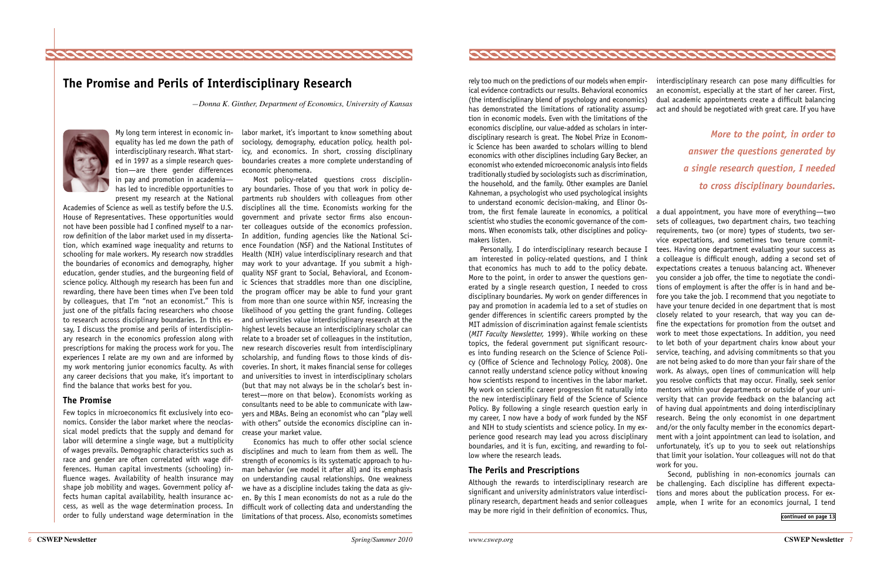rely too much on the predictions of our models when empirical evidence contradicts our results. Behavioral economics (the interdisciplinary blend of psychology and economics) has demonstrated the limitations of rationality assumption in economic models. Even with the limitations of the economics discipline, our value-added as scholars in interdisciplinary research is great. The Nobel Prize in Economic Science has been awarded to scholars willing to blend economics with other disciplines including Gary Becker, an economist who extended microeconomic analysis into fields traditionally studied by sociologists such as discrimination, the household, and the family. Other examples are Daniel Kahneman, a psychologist who used psychological insights to understand economic decision-making, and Elinor Ostrom, the first female laureate in economics, a political

#### **The Perils and Prescriptions**

Although the rewards to interdisciplinary research are significant and university administrators value interdisciplinary research, department heads and senior colleagues may be more rigid in their definition of economics. Thus,

scientist who studies the economic governance of the commons. When economists talk, other disciplines and policymakers listen. Personally, I do interdisciplinary research because I am interested in policy-related questions, and I think that economics has much to add to the policy debate. More to the point, in order to answer the questions generated by a single research question, I needed to cross disciplinary boundaries. My work on gender differences in pay and promotion in academia led to a set of studies on gender differences in scientific careers prompted by the MIT admission of discrimination against female scientists (*MIT Faculty Newsletter,* 1999). While working on these topics, the federal government put significant resources into funding research on the Science of Science Policy (Office of Science and Technology Policy, 2008). One cannot really understand science policy without knowing how scientists respond to incentives in the labor market. My work on scientific career progression fit naturally into the new interdisciplinary field of the Science of Science Policy. By following a single research question early in my career, I now have a body of work funded by the NSF and NIH to study scientists and science policy. In my experience good research may lead you across disciplinary boundaries, and it is fun, exciting, and rewarding to follow where the research leads. a dual appointment, you have more of everything—two sets of colleagues, two department chairs, two teaching requirements, two (or more) types of students, two service expectations, and sometimes two tenure committees. Having one department evaluating your success as a colleague is difficult enough, adding a second set of expectations creates a tenuous balancing act. Whenever you consider a job offer, the time to negotiate the conditions of employment is after the offer is in hand and before you take the job. I recommend that you negotiate to have your tenure decided in one department that is most closely related to your research, that way you can define the expectations for promotion from the outset and work to meet those expectations. In addition, you need to let both of your department chairs know about your service, teaching, and advising commitments so that you are not being asked to do more than your fair share of the work. As always, open lines of communication will help you resolve conflicts that may occur. Finally, seek senior mentors within your departments or outside of your university that can provide feedback on the balancing act of having dual appointments and doing interdisciplinary research. Being the only economist in one department and/or the only faculty member in the economics department with a joint appointment can lead to isolation, and unfortunately, it's up to you to seek out relationships that limit your isolation. Your colleagues will not do that work for you.

interdisciplinary research can pose many difficulties for an economist, especially at the start of her career. First, dual academic appointments create a difficult balancing act and should be negotiated with great care. If you have

<span id="page-3-1"></span>Second, publishing in non-economics journals can be challenging. Each discipline has different expectations and mores about the publication process. For example, when I write for an economics journal, I tend

labor market, it's important to know something about sociology, demography, education policy, health policy, and economics. In short, crossing disciplinary boundaries creates a more complete understanding of economic phenomena.

Most policy-related questions cross disciplinary boundaries. Those of you that work in policy departments rub shoulders with colleagues from other disciplines all the time. Economists working for the government and private sector firms also encounter colleagues outside of the economics profession. In addition, funding agencies like the National Science Foundation (NSF) and the National Institutes of Health (NIH) value interdisciplinary research and that may work to your advantage. If you submit a highquality NSF grant to Social, Behavioral, and Economic Sciences that straddles more than one discipline, the program officer may be able to fund your grant from more than one source within NSF, increasing the likelihood of you getting the grant funding. Colleges and universities value interdisciplinary research at the highest levels because an interdisciplinary scholar can relate to a broader set of colleagues in the institution, new research discoveries result from interdisciplinary scholarship, and funding flows to those kinds of discoveries. In short, it makes financial sense for colleges and universities to invest in interdisciplinary scholars (but that may not always be in the scholar's best interest—more on that below). Economists working as consultants need to be able to communicate with lawyers and MBAs. Being an economist who can "play well with others" outside the economics discipline can increase your market value.

Economics has much to offer other social science disciplines and much to learn from them as well. The strength of economics is its systematic approach to human behavior (we model it after all) and its emphasis on understanding causal relationships. One weakness we have as a discipline includes taking the data as given. By this I mean economists do not as a rule do the difficult work of collecting data and understanding the limitations of that process. Also, economists sometimes



*More to the point, in order to answer the questions generated by a single research question, I needed to cross disciplinary boundaries.*

**[continued on page 13](#page-6-1)**

My long term interest in economic inequality has led me down the path of interdisciplinary research. What started in 1997 as a simple research question—are there gender differences in pay and promotion in academia has led to incredible opportunities to present my research at the National

Academies of Science as well as testify before the U.S. House of Representatives. These opportunities would not have been possible had I confined myself to a narrow definition of the labor market used in my dissertation, which examined wage inequality and returns to schooling for male workers. My research now straddles the boundaries of economics and demography, higher education, gender studies, and the burgeoning field of science policy. Although my research has been fun and rewarding, there have been times when I've been told by colleagues, that I'm "not an economist." This is just one of the pitfalls facing researchers who choose to research across disciplinary boundaries. In this essay, I discuss the promise and perils of interdisciplinary research in the economics profession along with prescriptions for making the process work for you. The experiences I relate are my own and are informed by my work mentoring junior economics faculty. As with any career decisions that you make, it's important to find the balance that works best for you.

#### **The Promise**

Few topics in microeconomics fit exclusively into economics. Consider the labor market where the neoclassical model predicts that the supply and demand for labor will determine a single wage, but a multiplicity of wages prevails. Demographic characteristics such as race and gender are often correlated with wage differences. Human capital investments (schooling) influence wages. Availability of health insurance may shape job mobility and wages. Government policy affects human capital availability, health insurance access, as well as the wage determination process. In order to fully understand wage determination in the



## <span id="page-3-0"></span>**The Promise and Perils of Interdisciplinary Research**

*—Donna K. Ginther, Department of Economics, University of Kansas*

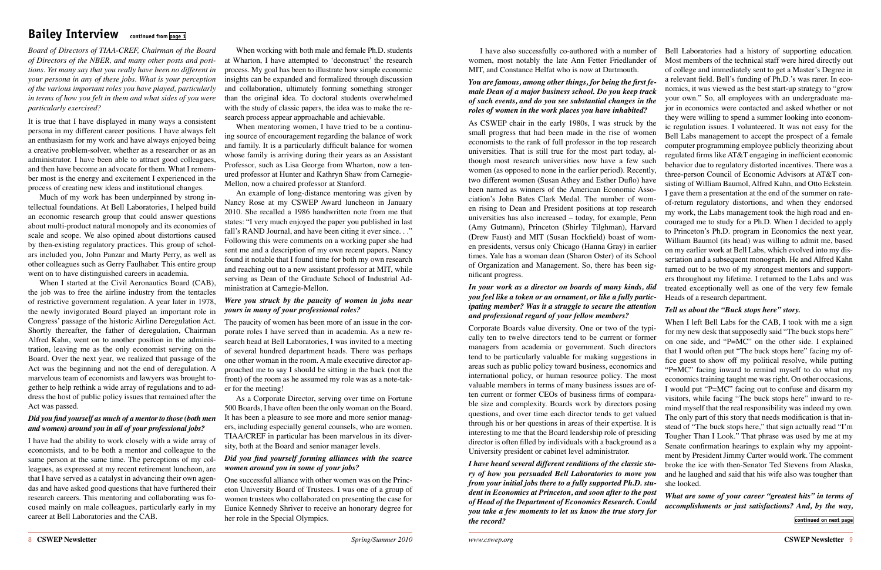*Board of Directors of TIAA-CREF, Chairman of the Board of Directors of the NBER, and many other posts and positions. Yet many say that you really have been no different in your persona in any of these jobs. What is your perception of the various important roles you have played, particularly in terms of how you felt in them and what sides of you were particularly exercised?*

It is true that I have displayed in many ways a consistent persona in my different career positions. I have always felt an enthusiasm for my work and have always enjoyed being a creative problem-solver, whether as a researcher or as an administrator. I have been able to attract good colleagues, and then have become an advocate for them. What I remember most is the energy and excitement I experienced in the process of creating new ideas and institutional changes.

Much of my work has been underpinned by strong intellectual foundations. At Bell Laboratories, I helped build an economic research group that could answer questions about multi-product natural monopoly and its economies of scale and scope. We also opined about distortions caused by then-existing regulatory practices. This group of scholars included you, John Panzar and Marty Perry, as well as other colleagues such as Gerry Faulhaber. This entire group went on to have distinguished careers in academia.

When I started at the Civil Aeronautics Board (CAB), the job was to free the airline industry from the tentacles of restrictive government regulation. A year later in 1978, the newly invigorated Board played an important role in Congress' passage of the historic Airline Deregulation Act. Shortly thereafter, the father of deregulation, Chairman Alfred Kahn, went on to another position in the administration, leaving me as the only economist serving on the Board. Over the next year, we realized that passage of the Act was the beginning and not the end of deregulation. A marvelous team of economists and lawyers was brought together to help rethink a wide array of regulations and to address the host of public policy issues that remained after the Act was passed.

#### *Did you find yourself as much of a mentor to those (both men and women) around you in all of your professional jobs?*

I have had the ability to work closely with a wide array of economists, and to be both a mentor and colleague to the same person at the same time. The perceptions of my colleagues, as expressed at my recent retirement luncheon, are that I have served as a catalyst in advancing their own agendas and have asked good questions that have furthered their research careers. This mentoring and collaborating was focused mainly on male colleagues, particularly early in my career at Bell Laboratories and the CAB.

## <span id="page-4-0"></span>**Bailey Interview continued from [page 1](#page-0-0)**

When working with both male and female Ph.D. students at Wharton, I have attempted to 'deconstruct' the research process. My goal has been to illustrate how simple economic insights can be expanded and formalized through discussion and collaboration, ultimately forming something stronger than the original idea. To doctoral students overwhelmed with the study of classic papers, the idea was to make the research process appear approachable and achievable.

When mentoring women, I have tried to be a continuing source of encouragement regarding the balance of work and family. It is a particularly difficult balance for women whose family is arriving during their years as an Assistant Professor, such as Lisa George from Wharton, now a tenured professor at Hunter and Kathryn Shaw from Carnegie-Mellon, now a chaired professor at Stanford.

An example of long-distance mentoring was given by Nancy Rose at my CSWEP Award luncheon in January 2010. She recalled a 1986 handwritten note from me that states: "I very much enjoyed the paper you published in last fall's RAND Journal, and have been citing it ever since. . ." Following this were comments on a working paper she had sent me and a description of my own recent papers. Nancy found it notable that I found time for both my own research and reaching out to a new assistant professor at MIT, while serving as Dean of the Graduate School of Industrial Administration at Carnegie-Mellon.

#### *Were you struck by the paucity of women in jobs near yours in many of your professional roles?*

The paucity of women has been more of an issue in the corporate roles I have served than in academia. As a new research head at Bell Laboratories, I was invited to a meeting of several hundred department heads. There was perhaps one other woman in the room. A male executive director approached me to say I should be sitting in the back (not the front) of the room as he assumed my role was as a note-taker for the meeting!

As a Corporate Director, serving over time on Fortune 500 Boards, I have often been the only woman on the Board. It has been a pleasure to see more and more senior managers, including especially general counsels, who are women. TIAA/CREF in particular has been marvelous in its diversity, both at the Board and senior manager levels.

#### *Did you find yourself forming alliances with the scarce women around you in some of your jobs?*

One successful alliance with other women was on the Princeton University Board of Trustees. I was one of a group of women trustees who collaborated on presenting the case for Eunice Kennedy Shriver to receive an honorary degree for her role in the Special Olympics.

#### *You are famous, among other things, for being the first female Dean of a major business school. Do you keep track of such events, and do you see substantial changes in the roles of women in the work places you have inhabited?*

I have also successfully co-authored with a number of Bell Laboratories had a history of supporting education. women, most notably the late Ann Fetter Friedlander of MIT, and Constance Helfat who is now at Dartmouth. Most members of the technical staff were hired directly out

As CSWEP chair in the early 1980s, I was struck by the small progress that had been made in the rise of women economists to the rank of full professor in the top research universities. That is still true for the most part today, although most research universities now have a few such women (as opposed to none in the earlier period). Recently, two different women (Susan Athey and Esther Duflo) have been named as winners of the American Economic Association's John Bates Clark Medal. The number of women rising to Dean and President positions at top research universities has also increased – today, for example, Penn (Amy Gutmann), Princeton (Shirley Tilghman), Harvard (Drew Faust) and MIT (Susan Hockfield) boast of women presidents, versus only Chicago (Hanna Gray) in earlier times. Yale has a woman dean (Sharon Oster) of its School of Organization and Management. So, there has been significant progress. *In your work as a director on boards of many kinds, did*  they were willing to spend a summer looking into economic regulation issues. I volunteered. It was not easy for the Bell Labs management to accept the prospect of a female computer programming employee publicly theorizing about regulated firms like AT&T engaging in inefficient economic behavior due to regulatory distorted incentives. There was a three-person Council of Economic Advisors at AT&T consisting of William Baumol, Alfred Kahn, and Otto Eckstein. I gave them a presentation at the end of the summer on rateof-return regulatory distortions, and when they endorsed my work, the Labs management took the high road and encouraged me to study for a Ph.D. When I decided to apply to Princeton's Ph.D. program in Economics the next year, William Baumol (its head) was willing to admit me, based on my earlier work at Bell Labs, which evolved into my dissertation and a subsequent monograph. He and Alfred Kahn turned out to be two of my strongest mentors and supporters throughout my lifetime. I returned to the Labs and was treated exceptionally well as one of the very few female

#### *you feel like a token or an ornament, or like a fully participating member? Was it a struggle to secure the attention and professional regard of your fellow members?* Heads of a research department. *Tell us about the "Buck stops here" story.*

of college and immediately sent to get a Master's Degree in a relevant field. Bell's funding of Ph.D.'s was rarer. In economics, it was viewed as the best start-up strategy to "grow your own." So, all employees with an undergraduate major in economics were contacted and asked whether or not

Corporate Boards value diversity. One or two of the typically ten to twelve directors tend to be current or former managers from academia or government. Such directors tend to be particularly valuable for making suggestions in areas such as public policy toward business, economics and international policy, or human resource policy. The most valuable members in terms of many business issues are often current or former CEOs of business firms of comparable size and complexity. Boards work by directors posing questions, and over time each director tends to get valued through his or her questions in areas of their expertise. It is interesting to me that the Board leadership role of presiding director is often filled by individuals with a background as a University president or cabinet level administrator. When I left Bell Labs for the CAB, I took with me a sign for my new desk that supposedly said "The buck stops here" on one side, and "P=MC" on the other side. I explained that I would often put "The buck stops here" facing my office guest to show off my political resolve, while putting "P=MC" facing inward to remind myself to do what my economics training taught me was right. On other occasions, I would put "P=MC" facing out to confuse and disarm my visitors, while facing "The buck stops here" inward to remind myself that the real responsibility was indeed my own. The only part of this story that needs modification is that instead of "The buck stops here," that sign actually read "I'm Tougher Than I Look." That phrase was used by me at my Senate confirmation hearings to explain why my appointment by President Jimmy Carter would work. The comment broke the ice with then-Senator Ted Stevens from Alaska, and he laughed and said that his wife also was tougher than she looked.

<span id="page-4-1"></span>*I have heard several different renditions of the classic story of how you persuaded Bell Laboratories to move you from your initial jobs there to a fully supported Ph.D. student in Economics at Princeton, and soon after to the post of Head of the Department of Economics Research. Could you take a few moments to let us know the true story for the record? What are some of your career "greatest hits" in terms of accomplishments or just satisfactions? And, by the way,*  **[continued on next page](#page-5-2)**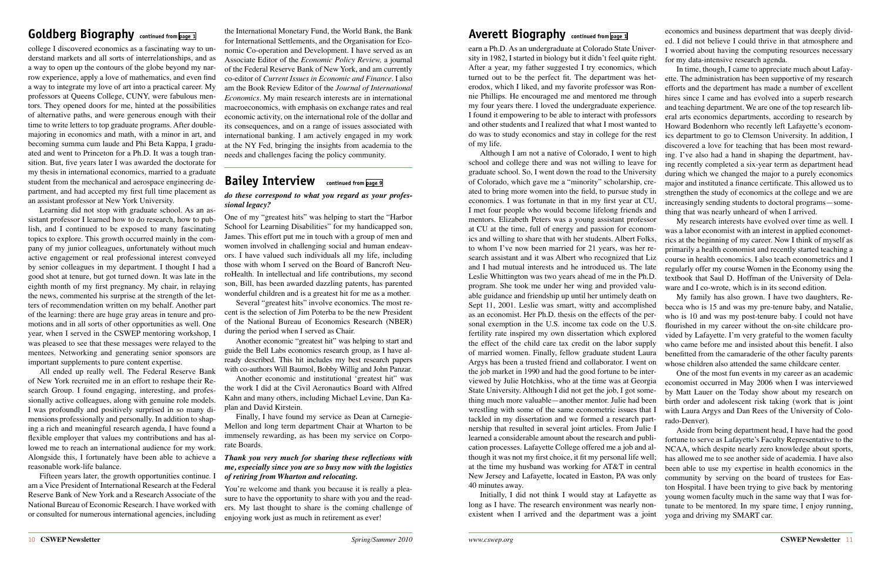10 **CSWEP Newsletter** *Spring/Summer 2010 www.cswep.org* **CSWEP Newsletter** 11

<span id="page-5-0"></span>earn a Ph.D. As an undergraduate at Colorado State University in 1982, I started in biology but it didn't feel quite right. After a year, my father suggested I try economics, which turned out to be the perfect fit. The department was heterodox, which I liked, and my favorite professor was Ronnie Phillips. He encouraged me and mentored me through my four years there. I loved the undergraduate experience. I found it empowering to be able to interact with professors and other students and I realized that what I most wanted to do was to study economics and stay in college for the rest of my life. I worried about having the computing resources necessary for my data-intensive research agenda. In time, though, I came to appreciate much about Lafayette. The administration has been supportive of my research efforts and the department has made a number of excellent hires since I came and has evolved into a superb research and teaching department. We are one of the top research liberal arts economics departments, according to research by Howard Bodenhorn who recently left Lafayette's economics department to go to Clemson University. In addition, I discovered a love for teaching that has been most reward-

learned a considerable amount about the research and publication processes. Lafayette College offered me a job and although it was not my first choice, it fit my personal life well; at the time my husband was working for AT&T in central New Jersey and Lafayette, located in Easton, PA was only 40 minutes away. long as I have. The research environment was nearly nonexistent when I arrived and the department was a joint

ed. I did not believe I could thrive in that atmosphere and

Although I am not a native of Colorado, I went to high school and college there and was not willing to leave for graduate school. So, I went down the road to the University of Colorado, which gave me a "minority" scholarship, created to bring more women into the field, to pursue study in economics. I was fortunate in that in my first year at CU, I met four people who would become lifelong friends and mentors. Elizabeth Peters was a young assistant professor at CU at the time, full of energy and passion for economics and willing to share that with her students. Albert Folks, to whom I've now been married for 21 years, was her research assistant and it was Albert who recognized that Liz and I had mutual interests and he introduced us. The late Leslie Whittington was two years ahead of me in the Ph.D. program. She took me under her wing and provided valuable guidance and friendship up until her untimely death on Sept 11, 2001. Leslie was smart, witty and accomplished as an economist. Her Ph.D. thesis on the effects of the personal exemption in the U.S. income tax code on the U.S. fertility rate inspired my own dissertation which explored the effect of the child care tax credit on the labor supply of married women. Finally, fellow graduate student Laura Argys has been a trusted friend and collaborator. I went on the job market in 1990 and had the good fortune to be interviewed by Julie Hotchkiss, who at the time was at Georgia State University. Although I did not get the job, I got something much more valuable—another mentor. Julie had been wrestling with some of the same econometric issues that I tackled in my dissertation and we formed a research partnership that resulted in several joint articles. From Julie I Initially, I did not think I would stay at Lafayette as ing. I've also had a hand in shaping the department, having recently completed a six-year term as department head during which we changed the major to a purely economics major and instituted a finance certificate. This allowed us to strengthen the study of economics at the college and we are increasingly sending students to doctoral programs—something that was nearly unheard of when I arrived. My research interests have evolved over time as well. I was a labor economist with an interest in applied econometrics at the beginning of my career. Now I think of myself as primarily a health economist and recently started teaching a course in health economics. I also teach econometrics and I regularly offer my course Women in the Economy using the textbook that Saul D. Hoffman of the University of Delaware and I co-wrote, which is in its second edition. My family has also grown. I have two daughters, Rebecca who is 15 and was my pre-tenure baby, and Natalie, who is 10 and was my post-tenure baby. I could not have flourished in my career without the on-site childcare provided by Lafayette. I'm very grateful to the women faculty who came before me and insisted about this benefit. I also benefitted from the camaraderie of the other faculty parents whose children also attended the same childcare center. One of the most fun events in my career as an academic economist occurred in May 2006 when I was interviewed by Matt Lauer on the Today show about my research on birth order and adolescent risk taking (work that is joint with Laura Argys and Dan Rees of the University of Colorado-Denver). Aside from being department head, I have had the good fortune to serve as Lafayette's Faculty Representative to the NCAA, which despite nearly zero knowledge about sports, has allowed me to see another side of academia. I have also been able to use my expertise in health economics in the community by serving on the board of trustees for Easton Hospital. I have been trying to give back by mentoring young women faculty much in the same way that I was fortunate to be mentored. In my spare time, I enjoy running, yoga and driving my SMART car.

You're welcome and thank you because it is really a pleasure to have the opportunity to share with you and the readers. My last thought to share is the coming challenge of enjoying work just as much in retirement as ever!

<span id="page-5-1"></span>Goldberg Biography continued from [page 1](#page-0-2) the International Monetary Fund, the World Bank, the Bank **Averett Biography** continued from [page 1](#page-0-1) economics and business department that was deeply dividthe International Monetary Fund, the World Bank, the Bank for International Settlements, and the Organisation for Economic Co-operation and Development. I have served as an Associate Editor of the *Economic Policy Review,* a journal of the Federal Reserve Bank of New York, and am currently co-editor of *Current Issues in Economic and Finance.* I also am the Book Review Editor of the *Journal of International Economics.* My main research interests are in international macroeconomics, with emphasis on exchange rates and real economic activity, on the international role of the dollar and its consequences, and on a range of issues associated with international banking. I am actively engaged in my work at the NY Fed, bringing the insights from academia to the needs and challenges facing the policy community.

college I discovered economics as a fascinating way to understand markets and all sorts of interrelationships, and as a way to open up the contours of the globe beyond my narrow experience, apply a love of mathematics, and even find a way to integrate my love of art into a practical career. My professors at Queens College, CUNY, were fabulous mentors. They opened doors for me, hinted at the possibilities of alternative paths, and were generous enough with their time to write letters to top graduate programs. After doublemajoring in economics and math, with a minor in art, and becoming summa cum laude and Phi Beta Kappa, I graduated and went to Princeton for a Ph.D. It was a tough transition. But, five years later I was awarded the doctorate for my thesis in international economics, married to a graduate student from the mechanical and aerospace engineering department, and had accepted my first full time placement as an assistant professor at New York University.

Learning did not stop with graduate school. As an assistant professor I learned how to do research, how to publish, and I continued to be exposed to many fascinating topics to explore. This growth occurred mainly in the company of my junior colleagues, unfortunately without much active engagement or real professional interest conveyed by senior colleagues in my department. I thought I had a good shot at tenure, but got turned down. It was late in the eighth month of my first pregnancy. My chair, in relaying the news, commented his surprise at the strength of the letters of recommendation written on my behalf. Another part of the learning: there are huge gray areas in tenure and promotions and in all sorts of other opportunities as well. One year, when I served in the CSWEP mentoring workshop, I was pleased to see that these messages were relayed to the mentees. Networking and generating senior sponsors are important supplements to pure content expertise.

All ended up really well. The Federal Reserve Bank of New York recruited me in an effort to reshape their Research Group. I found engaging, interesting, and professionally active colleagues, along with genuine role models. I was profoundly and positively surprised in so many dimensions professionally and personally. In addition to shaping a rich and meaningful research agenda, I have found a flexible employer that values my contributions and has allowed me to reach an international audience for my work. Alongside this, I fortunately have been able to achieve a reasonable work-life balance.

Fifteen years later, the growth opportunities continue. I am a Vice President of International Research at the Federal Reserve Bank of New York and a Research Associate of the National Bureau of Economic Research. I have worked with or consulted for numerous international agencies, including

#### *do these correspond to what you regard as your professional legacy?*

One of my "greatest hits" was helping to start the "Harbor School for Learning Disabilities" for my handicapped son, James. This effort put me in touch with a group of men and women involved in challenging social and human endeavors. I have valued such individuals all my life, including those with whom I served on the Board of Bancroft NeuroHealth. In intellectual and life contributions, my second son, Bill, has been awarded dazzling patents, has parented wonderful children and is a greatest hit for me as a mother.

Several "greatest hits" involve economics. The most recent is the selection of Jim Poterba to be the new President of the National Bureau of Economics Research (NBER) during the period when I served as Chair.

Another economic "greatest hit" was helping to start and guide the Bell Labs economics research group, as I have already described. This hit includes my best research papers with co-authors Will Baumol, Bobby Willig and John Panzar.

Another economic and institutional 'greatest hit" was the work I did at the Civil Aeronautics Board with Alfred Kahn and many others, including Michael Levine, Dan Kaplan and David Kirstein.

Finally, I have found my service as Dean at Carnegie-Mellon and long term department Chair at Wharton to be immensely rewarding, as has been my service on Corporate Boards.

#### *Thank you very much for sharing these reflections with me, especially since you are so busy now with the logistics of retiring from Wharton and relocating.*

## <span id="page-5-2"></span>**Bailey Interview continued from [page 9](#page-4-1)**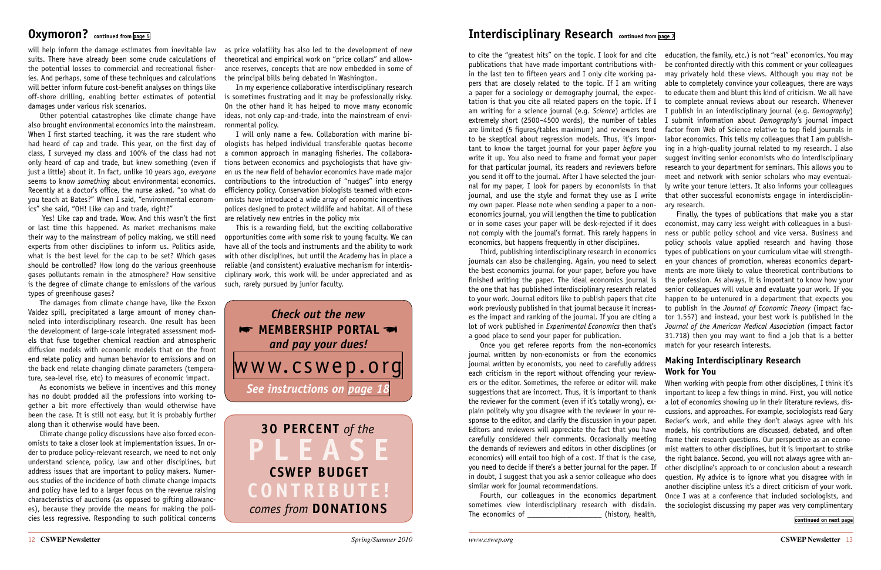ers or the editor. Sometimes, the referee or editor will make suggestions that are incorrect. Thus, it is important to thank the reviewer for the comment (even if it's totally wrong), explain politely why you disagree with the reviewer in your response to the editor, and clarify the discussion in your paper. Editors and reviewers will appreciate the fact that you have carefully considered their comments. Occasionally meeting the demands of reviewers and editors in other disciplines (or economics) will entail too high of a cost. If that is the case, you need to decide if there's a better journal for the paper. If in doubt, I suggest that you ask a senior colleague who does similar work for journal recommendations. sometimes view interdisciplinary research with disdain. The economics of \_\_\_\_\_\_\_\_\_\_\_\_\_\_\_\_\_\_\_\_\_\_(history, health,

<span id="page-6-1"></span>to cite the "greatest hits" on the topic. I look for and cite publications that have made important contributions within the last ten to fifteen years and I only cite working papers that are closely related to the topic. If I am writing a paper for a sociology or demography journal, the expectation is that you cite all related papers on the topic. If I am writing for a science journal (e.g. *Science*) articles are extremely short (2500–4500 words), the number of tables are limited (5 figures/tables maximum) and reviewers tend to be skeptical about regression models. Thus, it's important to know the target journal for your paper *before* you write it up. You also need to frame and format your paper for that particular journal, its readers and reviewers before you send it off to the journal. After I have selected the journal for my paper, I look for papers by economists in that journal, and use the style and format they use as I write my own paper. Please note when sending a paper to a noneconomics journal, you will lengthen the time to publication or in some cases your paper will be desk-rejected if it does not comply with the journal's format. This rarely happens in economics, but happens frequently in other disciplines. education, the family, etc.) is not "real" economics. You may be confronted directly with this comment or your colleagues may privately hold these views. Although you may not be able to completely convince your colleagues, there are ways to educate them and blunt this kind of criticism. We all have to complete annual reviews about our research. Whenever I publish in an interdisciplinary journal (e.g. *Demography*) I submit information about *Demography'*s journal impact factor from Web of Science relative to top field journals in labor economics. This tells my colleagues that I am publishing in a high-quality journal related to my research. I also suggest inviting senior economists who do interdisciplinary research to your department for seminars. This allows you to meet and network with senior scholars who may eventually write your tenure letters. It also informs your colleagues that other successful economists engage in interdisciplinary research. Finally, the types of publications that make you a star economist, may carry less weight with colleagues in a busi-

Third, publishing interdisciplinary research in economics journals can also be challenging. Again, you need to select the best economics journal for your paper, before you have finished writing the paper. The ideal economics journal is the one that has published interdisciplinary research related to your work. Journal editors like to publish papers that cite work previously published in that journal because it increases the impact and ranking of the journal. If you are citing a lot of work published in *Experimental Economics* then that's a good place to send your paper for publication. Once you get referee reports from the non-economics ness or public policy school and vice versa. Business and policy schools value applied research and having those types of publications on your curriculum vitae will strengthen your chances of promotion, whereas economics departments are more likely to value theoretical contributions to the profession. As always, it is important to know how your senior colleagues will value and evaluate your work. If you happen to be untenured in a department that expects you to publish in the *Journal of Economic Theory* (impact factor 1.557) and instead, your best work is published in the *Journal of the American Medical Association* (impact factor 31.718) then you may want to find a job that is a better match for your research interests.

<span id="page-6-2"></span>journal written by non-economists or from the economics journal written by economists, you need to carefully address each criticism in the report without offending your review-Fourth, our colleagues in the economics department **Making Interdisciplinary Research Work for You** When working with people from other disciplines, I think it's important to keep a few things in mind. First, you will notice a lot of economics showing up in their literature reviews, discussions, and approaches. For example, sociologists read Gary Becker's work, and while they don't always agree with his models, his contributions are discussed, debated, and often frame their research questions. Our perspective as an economist matters to other disciplines, but it is important to strike the right balance. Second, you will not always agree with another discipline's approach to or conclusion about a research question. My advice is to ignore what you disagree with in another discipline unless it's a direct criticism of your work. Once I was at a conference that included sociologists, and the sociologist discussing my paper was very complimentary

*Check out the new* **\*\*** MEMBERSHIP PORTAL *and pay your dues!* [www.cswep.org](http://www.cswep.org) *See instructions on [page 18](#page-9-0)* **30 percent** *of the*  **P l e a s e CSWEP budget cont r i but e !** *comes from DONATIONS* 

## <span id="page-6-0"></span>**Oxymoron?** continued from [page 5](#page-2-1) **1111 COVID-100 COVID-100 Interdisciplinary Research** continued from [page 7](#page-3-1)

will help inform the damage estimates from inevitable law suits. There have already been some crude calculations of the potential losses to commercial and recreational fisheries. And perhaps, some of these techniques and calculations will better inform future cost-benefit analyses on things like off-shore drilling, enabling better estimates of potential is sometimes frustrating and it may be professionally risky. damages under various risk scenarios.

Other potential catastrophes like climate change have also brought environmental economics into the mainstream. When I first started teaching, it was the rare student who had heard of cap and trade. This year, on the first day of class, I surveyed my class and 100% of the class had not only heard of cap and trade, but knew something (even if just a little) about it. In fact, unlike 10 years ago, *everyone* seems to know *something* about environmental economics. Recently at a doctor's office, the nurse asked, "so what do you teach at Bates?" When I said, "environmental economics" she said, "OH! Like cap and trade, right?"

 Yes! Like cap and trade. Wow. And this wasn't the first or last time this happened. As market mechanisms make their way to the mainstream of policy making, we still need experts from other disciplines to inform us. Politics aside, what is the best level for the cap to be set? Which gases should be controlled? How long do the various greenhouse gases pollutants remain in the atmosphere? How sensitive is the degree of climate change to emissions of the various such, rarely pursued by junior faculty. types of greenhouse gases?

The damages from climate change have, like the Exxon Valdez spill, precipitated a large amount of money channeled into interdisciplinary research. One result has been the development of large-scale integrated assessment models that fuse together chemical reaction and atmospheric diffusion models with economic models that on the front end relate policy and human behavior to emissions and on the back end relate changing climate parameters (temperature, sea-level rise, etc) to measures of economic impact.

As economists we believe in incentives and this money has no doubt prodded all the professions into working together a bit more effectively than would otherwise have been the case. It is still not easy, but it is probably further along than it otherwise would have been.

Climate change policy discussions have also forced economists to take a closer look at implementation issues. In order to produce policy-relevant research, we need to not only understand science, policy, law and other disciplines, but address issues that are important to policy makers. Numerous studies of the incidence of both climate change impacts and policy have led to a larger focus on the revenue raising characteristics of auctions (as opposed to gifting allowances), because they provide the means for making the policies less regressive. Responding to such political concerns

as price volatility has also led to the development of new theoretical and empirical work on "price collars" and allowance reserves, concepts that are now embedded in some of the principal bills being debated in Washington.

In my experience collaborative interdisciplinary research On the other hand it has helped to move many economic ideas, not only cap-and-trade, into the mainstream of environmental policy.

I will only name a few. Collaboration with marine biologists has helped individual transferable quotas become a common approach in managing fisheries. The collaborations between economics and psychologists that have given us the new field of behavior economics have made major contributions to the introduction of "nudges" into energy efficiency policy. Conservation biologists teamed with economists have introduced a wide array of economic incentives polices designed to protect wildlife and habitat. All of these are relatively new entries in the policy mix

This is a rewarding field, but the exciting collaborative opportunities come with some risk to young faculty. We can have all of the tools and instruments and the ability to work with other disciplines, but until the Academy has in place a reliable (and consistent) evaluative mechanism for interdisciplinary work, this work will be under appreciated and as

**[continued on next page](#page-7-3)**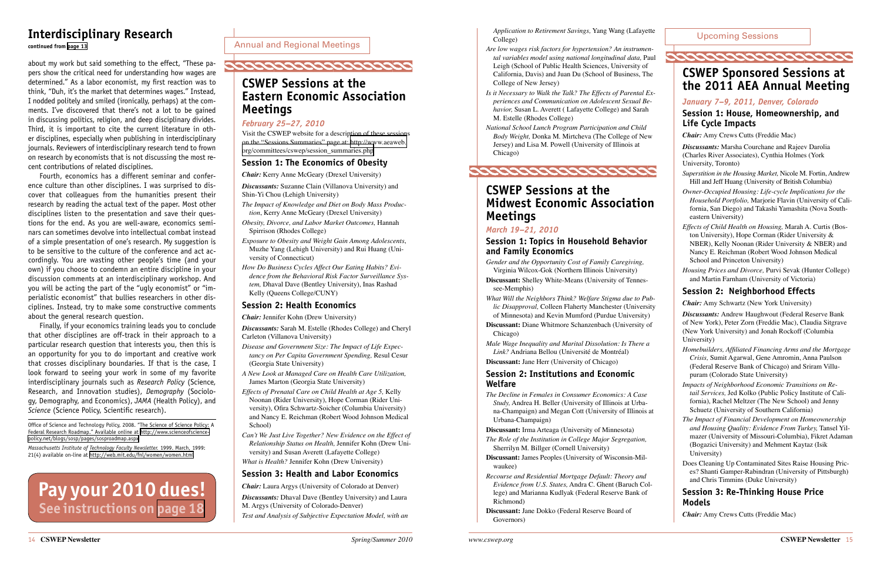*Application to Retirement Savings,* Yang Wang (Lafayette College)

- *Are low wages risk factors for hypertension? An instrumental variables model using national longitudinal data,* Paul Leigh (School of Public Health Sciences, University of California, Davis) and Juan Du (School of Business, The College of New Jersey)
- *Is it Necessary to Walk the Talk? The Effects of Parental Experiences and Communication on Adolescent Sexual Behavior,* Susan L. Averett ( Lafayette College) and Sarah M. Estelle (Rhodes College)
- *National School Lunch Program Participation and Child Body Weight,* Donka M. Mirtcheva (The College of New Jersey) and Lisa M. Powell (University of Illinois at Chicago)

## <span id="page-7-1"></span>**CSWEP Sessions at the Midwest Economic Association Meetings**

### *March 19–21, 2010*

#### **Session 1: Topics in Household Behavior and Family Economics**

*Gender and the Opportunity Cost of Family Caregiving,* Virginia Wilcox-Gok (Northern Illinois University)

- **Discussant:** Shelley White-Means (University of Tennessee-Memphis)
- *What Will the Neighbors Think? Welfare Stigma due to Public Disapproval,* Colleen Flaherty Manchester (University of Minnesota) and Kevin Mumford (Purdue University)
- **Discussant:** Diane Whitmore Schanzenbach (University of Chicago)
- *Male Wage Inequality and Marital Dissolution: Is There a Link?* Andriana Bellou (Université de Montréal)

**Discussant:** Jane Herr (University of Chicago)

#### **Session 2: Institutions and Economic Welfare**

- *The Decline in Females in Consumer Economics: A Case Study,* Andrea H. Beller (University of Illinois at Urbana-Champaign) and Megan Cott (University of Illinois at Urbana-Champaign)
- **Discussant:** Irma Arteaga (University of Minnesota)
- *The Role of the Institution in College Major Segregation,* Sherrilyn M. Billger (Cornell University)
- **Discussant:** James Peoples (University of Wisconsin-Milwaukee)
- *Recourse and Residential Mortgage Default: Theory and Evidence from U.S. States,* Andra C. Ghent (Baruch College) and Marianna Kudlyak (Federal Reserve Bank of Richmond)
- **Discussant:** Jane Dokko (Federal Reserve Board of Governors)



Annual and Regional Meetings



## <span id="page-7-0"></span>**CSWEP Sessions at the Eastern Economic Association Meetings**

#### *February 25–27, 2010*

Visit the CSWEP website for a description of these sessions on the "Sessions Summaries" page at: [http://www.aeaweb.](http://www.aeaweb.org/committees/cswep/session_summaries.php) [org/committees/cswep/session\\_summaries.php](http://www.aeaweb.org/committees/cswep/session_summaries.php)

#### **Session 1: The Economics of Obesity**

*Chair:* Kerry Anne McGeary (Drexel University)

*Discussants:* Suzanne Clain (Villanova University) and Shin-Yi Chou (Lehigh University)

- *The Impact of Knowledge and Diet on Body Mass Production*, Kerry Anne McGeary (Drexel University)
- *Obesity, Divorce, and Labor Market Outcomes,* Hannah Spirrison (Rhodes College)
- *Exposure to Obesity and Weight Gain Among Adolescents*, Muzhe Yang (Lehigh University) and Rui Huang (University of Connecticut)
- *How Do Business Cycles Affect Our Eating Habits? Evidence from the Behavioral Risk Factor Surveillance System,* Dhaval Dave (Bentley University), Inas Rashad Kelly (Queens College/CUNY)

#### **Session 2: Health Economics**

*Chair:* Jennifer Kohn (Drew University)

*Discussants:* Sarah M. Estelle (Rhodes College) and Cheryl Carleton (Villanova University)

- *Disease and Government Size: The Impact of Life Expectancy on Per Capita Government Spending,* Resul Cesur (Georgia State University)
- *A New Look at Managed Care on Health Care Utilization,* James Marton (Georgia State University)
- *Effects of Prenatal Care on Child Health at Age 5,* Kelly Noonan (Rider University), Hope Corman (Rider University), Ofira Schwartz-Soicher (Columbia University) and Nancy E. Reichman (Robert Wood Johnson Medical School)
- *Can't We Just Live Together? New Evidence on the Effect of Relationship Status on Health,* Jennifer Kohn (Drew University) and Susan Averett (Lafayette College) *What is Health?* Jennifer Kohn (Drew University)
- 

#### **Session 3: Health and Labor Economics**

*Chair:* Laura Argys (University of Colorado at Denver)

*Discussants:* Dhaval Dave (Bentley University) and Laura M. Argys (University of Colorado-Denver)

*Test and Analysis of Subjective Expectation Model, with an* 

## <span id="page-7-2"></span>**CSWEP Sponsored Sessions at the 2011 AEA Annual Meeting**

**COOCOOCOOCOOCOOCOOCOOCOO** 

### *January 7–9, 2011, Denver, Colorado*

### **Session 1: House, Homeownership, and Life Cycle Impacts**

*Chair:* Amy Crews Cutts (Freddie Mac)

*Discussants:* Marsha Courchane and Rajeev Darolia (Charles River Associates), Cynthia Holmes (York University, Toronto)

*Superstition in the Housing Market,* Nicole M. Fortin, Andrew Hill and Jeff Huang (University of British Columbia)

*Owner-Occupied Housing: Life-cycle Implications for the Household Portfolio,* Marjorie Flavin (University of California, San Diego) and Takashi Yamashita (Nova Southeastern University)

*Effects of Child Health on Housing,* Marah A. Curtis (Boston University), Hope Corman (Rider University & NBER), Kelly Noonan (Rider University & NBER) and Nancy E. Reichman (Robert Wood Johnson Medical School and Princeton University)

*Housing Prices and Divorce,* Purvi Sevak (Hunter College) and Martin Farnham (University of Victoria)

### **Session 2: Neighborhood Effects**

*Chair:* Amy Schwartz (New York University)

*Discussants:* Andrew Haughwout (Federal Reserve Bank of New York), Peter Zorn (Freddie Mac), Claudia Sitgrave (New York University) and Jonah Rockoff (Columbia University)

- *Homebuilders, Affiliated Financing Arms and the Mortgage Crisis,* Sumit Agarwal, Gene Amromin, Anna Paulson (Federal Reserve Bank of Chicago) and Sriram Villupuram (Colorado State University)
- *Impacts of Neighborhood Economic Transitions on Retail Services,* Jed Kolko (Public Policy Institute of California), Rachel Meltzer (The New School) and Jenny Schuetz (University of Southern California)
- *The Impact of Financial Development on Homeownership and Housing Quality: Evidence From Turkey,* Tansel Yilmazer (University of Missouri-Columbia), Fikret Adaman (Bogazici University) and Mehment Kaytaz (Isik University)
- Does Cleaning Up Contaminated Sites Raise Housing Prices? Shanti Gamper-Rabindran (University of Pittsburgh) and Chris Timmins (Duke University)

### **Session 3: Re-Thinking House Price Models**

*Chair:* Amy Crews Cutts (Freddie Mac)

about my work but said something to the effect, "These papers show the critical need for understanding how wages are determined." As a labor economist, my first reaction was to think, "Duh, it's the market that determines wages." Instead, I nodded politely and smiled (ironically, perhaps) at the comments. I've discovered that there's not a lot to be gained in discussing politics, religion, and deep disciplinary divides. Third, it is important to cite the current literature in other disciplines, especially when publishing in interdisciplinary journals. Reviewers of interdisciplinary research tend to frown on research by economists that is not discussing the most recent contributions of related disciplines.

Fourth, economics has a different seminar and conference culture than other disciplines. I was surprised to discover that colleagues from the humanities present their research by reading the actual text of the paper. Most other disciplines listen to the presentation and save their questions for the end. As you are well-aware, economics seminars can sometimes devolve into intellectual combat instead of a simple presentation of one's research. My suggestion is to be sensitive to the culture of the conference and act accordingly. You are wasting other people's time (and your own) if you choose to condemn an entire discipline in your discussion comments at an interdisciplinary workshop. And you will be acting the part of the "ugly economist" or "imperialistic economist" that bullies researchers in other disciplines. Instead, try to make some constructive comments about the general research question.

Finally, if your economics training leads you to conclude that other disciplines are off-track in their approach to a particular research question that interests you, then this is an opportunity for you to do important and creative work that crosses disciplinary boundaries. If that is the case, I look forward to seeing your work in some of my favorite interdisciplinary journals such as *Research Policy* (Science, Research, and Innovation studies), *Demography* (Sociology, Demography, and Economics), *JAMA* (Health Policy), and *Science* (Science Policy, Scientific research).

Office of Science and Technology Policy, 2008. "The Science of Science Policy: A Federal Research Roadmap." Available online at [http://www.scienceofscience](http://www.scienceofsciencepolicy.net/blogs/sosp/pages/sosproadmap.aspx)[policy.net/blogs/sosp/pages/sosproadmap.aspx](http://www.scienceofsciencepolicy.net/blogs/sosp/pages/sosproadmap.aspx)

*Massachusetts Institute of Technology Faculty Newsletter.* 1999. March, 1999: 21(4) available on-line at <http://web.mit.edu/fnl/women/women.html>

## <span id="page-7-3"></span>**Interdisciplinary Research**

**continued from [page 13](#page-6-2)**

Upcoming Sessions

## **Pay your 2010 dues! See instructions on [page 18](#page-9-0)**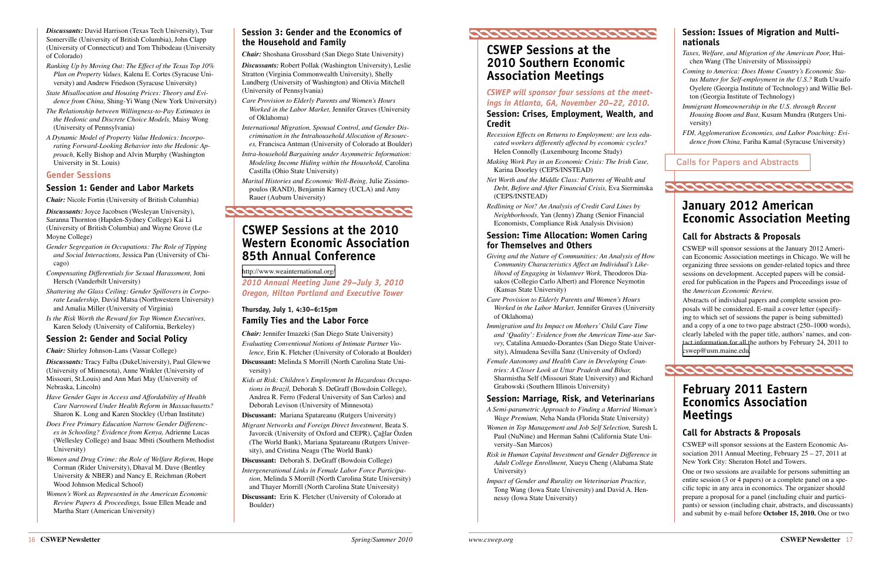

*Discussants:* David Harrison (Texas Tech University), Tsur Somerville (University of British Columbia), John Clapp (University of Connecticut) and Tom Thibodeau (University of Colorado)

- *Ranking Up by Moving Out: The Effect of the Texas Top 10% Plan on Property Values,* Kalena E. Cortes (Syracuse University) and Andrew Friedson (Syracuse University)
- *State Misallocation and Housing Prices: Theory and Evidence from China,* Shing-Yi Wang (New York University)
- *The Relationship between Willingness-to-Pay Estimates in the Hedonic and Discrete Choice Models,* Maisy Wong (University of Pennsylvania)
- *A Dynamic Model of Property Value Hedonics: Incorporating Forward-Looking Behavior into the Hedonic Approach,* Kelly Bishop and Alvin Murphy (Washington University in St. Louis)

#### **Gender Sessions**

#### **Session 1: Gender and Labor Markets**

*Chair:* Nicole Fortin (University of British Columbia)

*Discussants:* Joyce Jacobsen (Wesleyan University), Saranna Thornton (Hapden-Sydney College) Kai Li (University of British Columbia) and Wayne Grove (Le Moyne College)

- *Gender Segregation in Occupations: The Role of Tipping and Social Interactions,* Jessica Pan (University of Chicago)
- *Compensating Differentials for Sexual Harassment,* Joni Hersch (Vanderbilt University)
- *Shattering the Glass Ceiling: Gender Spillovers in Corporate Leadership,* David Matsa (Northwestern University) and Amalia Miller (University of Virginia)
- *Is the Risk Worth the Reward for Top Women Executives,* Karen Selody (University of California, Berkeley)

#### **Session 2: Gender and Social Policy**

*Chair:* Shirley Johnson-Lans (Vassar College)

*Discussants:* Tracy Falba (DukeUniversity), Paul Glewwe (University of Minnesota), Anne Winkler (University of Missouri, St.Louis) and Ann Mari May (University of Nebraska, Lincoln)

- *Have Gender Gaps in Access and Affordability of Health Care Narrowed Under Health Reform in Massachusetts?* Sharon K. Long and Karen Stockley (Urban Institute)
- *Does Free Primary Education Narrow Gender Differences in Schooling? Evidence from Kenya,* Adrienne Lucas (Wellesley College) and Isaac Mbiti (Southern Methodist University)
- *Women and Drug Crime: the Role of Welfare Reform,* Hope Corman (Rider University), Dhaval M. Dave (Bentley University & NBER) and Nancy E. Reichman (Robert Wood Johnson Medical School)
- *Women's Work as Represented in the American Economic Review Papers & Proceedings,* Issue Ellen Meade and Martha Starr (American University)

## <span id="page-8-1"></span>**CSWEP Sessions at the 2010 Southern Economic**

**Association Meetings**

## *CSWEP will sponsor four sessions at the meet-*

#### *ings in Atlanta, GA, November 20–22, 2010.*  **Session: Crises, Employment, Wealth, and Credit**

- *Recession Effects on Returns to Employment: are less educated workers differently affected by economic cycles?* Helen Connolly (Luxembourg Income Study)
- *Making Work Pay in an Economic Crisis: The Irish Case,* Karina Doorley (CEPS/INSTEAD)
- *Net Worth and the Middle Class: Patterns of Wealth and Debt, Before and After Financial Crisis,* Eva Sierminska (CEPS/INSTEAD)
- *Redlining or Not? An Analysis of Credit Card Lines by Neighborhoods,* Yan (Jenny) Zhang (Senior Financial Economists, Compliance Risk Analysis Division)

#### **Session: Time Allocation: Women Caring for Themselves and Others**

- *Giving and the Nature of Communities: An Analysis of How Community Characteristics Affect an Individual's Likelihood of Engaging in Volunteer Work,* Theodoros Diasakos (Collegio Carlo Albert) and Florence Neymotin (Kansas State University)
- *Care Provision to Elderly Parents and Women's Hours Worked in the Labor Market,* Jennifer Graves (University of Oklahoma)
- *Immigration and Its Impact on Mothers' Child Care Time and 'Quality': Evidence from the American Time-use Survey,* Catalina Amuedo-Dorantes (San Diego State University), Almudena Sevilla Sanz (University of Oxford)
- *Female Autonomy and Health Care in Developing Countries: A Closer Look at Uttar Pradesh and Bihar,* Sharmistha Self (Missouri State University) and Richard Grabowski (Southern Illinois University)

#### **Session: Marriage, Risk, and Veterinarians**

- *A Semi-parametric Approach to Finding a Married Woman's Wage Premium,* Neha Nanda (Florida State University)
- *Women in Top Management and Job Self Selection,* Suresh L Paul (NuNine) and Herman Sahni (California State University–San Marcos)
- *Risk in Human Capital Investment and Gender Difference in Adult College Enrollment,* Xueyu Cheng (Alabama State University)
- *Impact of Gender and Rurality on Veterinarian Practice,* Tong Wang (Iowa State University) and David A. Hennessy (Iowa State University)

#### **Session 3: Gender and the Economics of the Household and Family**

*Chair:* Shoshana Grossbard (San Diego State University)

*Discussants:* Robert Pollak (Washington University), Leslie Stratton (Virginia Commonwealth University), Shelly Lundberg (University of Washington) and Olivia Mitchell (University of Pennsylvania)

- *Care Provision to Elderly Parents and Women's Hours Worked in the Labor Market,* Jennifer Graves (University of Oklahoma)
- *International Migration, Spousal Control, and Gender Discrimination in the Intrahousehold Allocation of Resources,* Francisca Antman (University of Colorado at Boulder)
- *Intra-household Bargaining under Asymmetric Information: Modeling Income Hiding within the Household,* Carolina Castilla (Ohio State University)
- *Marital Histories and Economic Well-Being,* Julie Zissimopoulos (RAND), Benjamin Karney (UCLA) and Amy Rauer (Auburn University)

## <span id="page-8-0"></span>**CSWEP Sessions at the 2010 Western Economic Association 85th Annual Conference**

[http://www.weainternational.org](http://www.weainternational.org/)/

*2010 Annual Meeting June 29–July 3, 2010 Oregon, Hilton Portland and Executive Tower*

### **Thursday, July 1, 4:30–6:15pm Family Ties and the Labor Force**

*Chair:* Jennifer Imazeki (San Diego State University)

- *Evaluating Conventional Notions of Intimate Partner Violence,* Erin K. Fletcher (University of Colorado at Boulder)
- **Discussant:** Melinda S Morrill (North Carolina State University)

*Kids at Risk: Children's Employment In Hazardous Occupations in Brazil,* Deborah S. DeGraff (Bowdoin College), Andrea R. Ferro (Federal University of San Carlos) and Deborah Levison (University of Minnesota)

- **Discussant:** Mariana Spatareanu (Rutgers University)
- *Migrant Networks and Foreign Direct Investment,* Beata S. Javorcik (University of Oxford and CEPR), Çağlar Özden (The World Bank), Mariana Spatareanu (Rutgers University), and Cristina Neagu (The World Bank)
- **Discussant:** Deborah S. DeGraff (Bowdoin College)
- *Intergenerational Links in Female Labor Force Participation,* Melinda S Morrill (North Carolina State University) and Thayer Morrill (North Carolina State University)
- **Discussant:** Erin K. Fletcher (University of Colorado at Boulder)

### **Session: Issues of Migration and Multinationals**

*Taxes, Welfare, and Migration of the American Poor,* Huichen Wang (The University of Mississippi)

*Coming to America: Does Home Country's Economic Status Matter for Self-employment in the U.S.?* Ruth Uwaifo Oyelere (Georgia Institute of Technology) and Willie Belton (Georgia Institute of Technology)

*Immigrant Homeownership in the U.S. through Recent Housing Boom and Bust,* Kusum Mundra (Rutgers University)

*FDI, Agglomeration Economies, and Labor Poaching: Evidence from China,* Fariha Kamal (Syracuse University)

**January 2012 American Economic Association Meeting** 

### **Call for Abstracts & Proposals**

CSWEP will sponsor sessions at the January 2012 American Economic Association meetings in Chicago. We will be organizing three sessions on gender-related topics and three sessions on development. Accepted papers will be considered for publication in the Papers and Proceedings issue of the *American Economic Review.*

Abstracts of individual papers and complete session proposals will be considered. E-mail a cover letter (specifying to which set of sessions the paper is being submitted) and a copy of a one to two page abstract (250–1000 words), clearly labeled with the paper title, authors' names, and contact information for all the authors by February 24, 2011 to [cswep@usm.maine.ed](mailto:cswep@usm.maine.edu)u.

## *coocoocoocoocoocooc*o

## **February 2011 Eastern Economics Association Meetings**

#### **Call for Abstracts & Proposals**

CSWEP will sponsor sessions at the Eastern Economic Association 2011 Annual Meeting, February  $25 - 27$ , 2011 at New York City: Sheraton Hotel and Towers.

One or two sessions are available for persons submitting an entire session (3 or 4 papers) or a complete panel on a specific topic in any area in economics. The organizer should prepare a proposal for a panel (including chair and participants) or session (including chair, abstracts, and discussants) and submit by e-mail before **October 15, 2010.** One or two

<span id="page-8-2"></span>Calls for Papers and Abstracts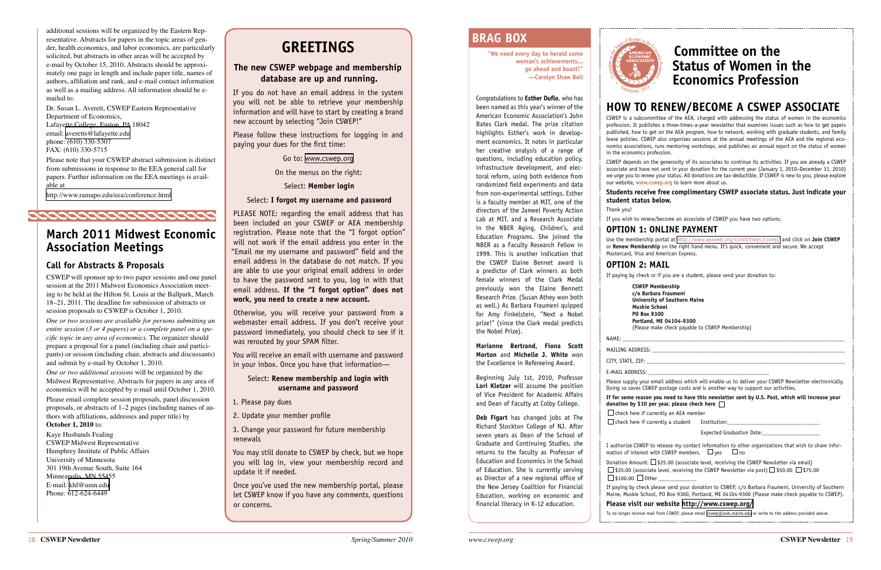

**"We need every day to herald some woman's achievements... go ahead and boast!" —Carolyn Shaw Bell**

Congratulations to **Esther Duflo**, who has been named as this year's winner of the American Economic Association's John Bates Clark medal. The prize citation highlights Esther's work in development economics. It notes in particular her creative analysis of a range of questions, including education policy, infrastructure development, and electoral reform, using both evidence from randomized field experiments and data from non-experimental settings. Esther is a faculty member at MIT, one of the directors of the Jameel Poverty Action Lab at MIT, and a Research Associate in the NBER Aging, Children's, and Education Programs. She joined the NBER as a Faculty Research Fellow in 1999. This is another indication that the CSWEP Elaine Bennet award is a predictor of Clark winners as both female winners of the Clark Medal previously won the Elaine Bennett Research Prize. (Susan Athey won both as well.) As Barbara Fraumeni quipped for Amy Finkelstein, "Next a Nobel prize!" (since the Clark medal predicts the Nobel Prize).

**Marianne Bertrand, Fiona Scott Morton** and **Michelle J. White** won the Excellence in Refereeing Award.

Beginning July 1st, 2010, Professor **Lori Kletzer** will assume the position of Vice President for Academic Affairs and Dean of Faculty at Colby College.

**Deb Figart** has changed jobs at The Richard Stockton College of NJ. After seven years as Dean of the School of Graduate and Continuing Studies, she returns to the faculty as Professor of Education and Economics in the School of Education. She is currently serving as Director of a new regional office of the New Jersey Coalition for Financial Education, working on economic and financial literacy in K-12 education.

NAME: \_\_\_\_\_\_\_\_\_\_\_\_\_\_\_\_\_\_\_\_\_\_\_\_\_\_\_\_\_\_\_\_\_\_\_\_\_\_\_\_\_\_\_\_\_\_\_\_\_\_\_\_\_\_\_\_\_\_\_\_\_\_\_\_\_\_\_\_\_\_\_\_\_\_\_\_\_ MAILING ADDRESS:

CITY, STATE, ZIP: E-MAIL ADDRESS:

## <span id="page-9-1"></span>**BRAG BOX**

Please supply your email address which will enable us to deliver your CSWEP Newsletter electronically. Doing so saves CSWEP postage costs and is another way to support our activities.

## **HOW TO RENEW/BECOME A CSWEP ASSOCIATE**

**donation by \$10 per year, please check here**   $\Box$  check here if currently an AEA member  $\Box$  check here if currently a student Institution:

I authorize CSWEP to release my contact information to other organizations that wish to share information of interest with CSWEP members.  $\Box$  yes  $\Box$  no

 $\Box$  \$100.00  $\Box$  Other

CSWEP is a subcommittee of the AEA, charged with addressing the status of women in the economics profession. It publishes a three-times-a-year newsletter that examines issues such as how to get papers published, how to get on the AEA program, how to network, working with graduate students, and family leave policies. CSWEP also organizes sessions at the annual meetings of the AEA and the regional economics associations, runs mentoring workshops, and publishes an annual report on the status of women in the economics profession.

CSWEP depends on the generosity of its associates to continue its activities. If you are already a CSWEP associate and have not sent in your donation for the current year (January 1, 2010–December 31, 2010) we urge you to renew your status. All donations are tax-deductible. If CSWEP is new to you, please explore our website, **[www.cswep.org](http://www.cswep.org)** to learn more about us.

## **Students receive free complimentary CSWEP associate status. Just indicate your**

**student status below.** Thank you!

If you wish to renew/become an associate of CSWEP you have two options:

#### **OPTION 1: ONLINE PAYMENT**

Use the membership portal at <http://www.aeaweb.org/committees/cswep/> and click on **Join CSWEP** or **Renew Membership** on the right hand menu. It's quick, convenient and secure. We accept Mastercard, Visa and American Express.

**OPTION 2: MAIL**

If paying by check or if you are a student, please send your donation to:

**CSWEP Membership c/o Barbara Fraumeni University of Southern Maine Muskie School PO Box 9300 Portland, ME 04104-9300** (Please make check payable to CSWEP Membership)

## **If for some reason you need to have this newsletter sent by U.S. Post, which will increase your**

Expected Graduation Date:

Donation Amount:  $\square$  \$25.00 (associate level, receiving the CSWEP Newsletter via email)  $\Box$  \$35.00 (associate level, receiving the CSWEP Newsletter via post)  $\Box$  \$50.00  $\Box$  \$75.00

If paying by check please send your donation to CSWEP, c/o Barbara Fraumeni, University of Southern Maine, Muskie School, PO Box 9300, Portland, ME 04104-9300 (Please make check payable to CSWEP).

#### **Please visit our website <http://www.cswep.org/>**

To no longer receive mail from CSWEP, please email [cswep@usm.maine.edu]( mailto:cswep@usm.maine.edu) or write to the address provided above.

## <span id="page-9-2"></span>**Committee on the Status of Women in the Economics Profession**

additional sessions will be organized by the Eastern Representative. Abstracts for papers in the topic areas of gender, health economics, and labor economics, are particularly solicited, but abstracts in other areas will be accepted by e-mail by October 15, 2010. Abstracts should be approximately one page in length and include paper title, names of authors, affiliation and rank, and e-mail contact information as well as a mailing address. All information should be emailed to:

Dr. Susan L. Averett, CSWEP Eastern Representative Department of Economics, Lafayette College, Easton, PA 18042 email: [averetts@lafayette.ed](mailto:khf@umn.edu)u phone: (610) 330-5307 FAX: (610) 330-5715

Please note that your CSWEP abstract submission is distinct from submissions in response to the EEA general call for papers. Further information on the EEA meetings is available at

[http://www.ramapo.edu/eea/conference.htm](http://www.ramapo.edu/eea/conference.html)l

## **March 2011 Midwest Economic Association Meetings**

<u> aaaaaaaaaaaaaaaaaa </u>

### **Call for Abstracts & Proposals**

CSWEP will sponsor up to two paper sessions and one panel session at the 2011 Midwest Economics Association meeting to be held at the Hilton St. Louis at the Ballpark, March 18–21, 2011. The deadline for submission of abstracts or session proposals to CSWEP is October 1, 2010.

*One or two sessions are available for persons submitting an entire session (3 or 4 papers) or a complete panel on a specific topic in any area of economics.* The organizer should prepare a proposal for a panel (including chair and participants) or session (including chair, abstracts and discussants) and submit by e-mail by October 1, 2010.

*One or two additional sessions* will be organized by the Midwest Representative. Abstracts for papers in any area of economics will be accepted by e-mail until October 1, 2010.

Please email complete session proposals, panel discussion proposals, or abstracts of 1–2 pages (including names of authors with affiliations, addresses and paper title) by **October 1, 2010** to:

Kaye Husbands Fealing CSWEP Midwest Representative Humphrey Institute of Public Affairs University of Minnesota 301 19th Avenue South, Suite 164 Minneapolis, MN 55455 E-mail: [khf@umn.ed](mailto:khf@umn.edu)u Phone: 612-624-6449

## <span id="page-9-0"></span>**Greetings**

#### **The new CSWEP webpage and membership database are up and running.**

If you do not have an email address in the system you will not be able to retrieve your membership information and will have to start by creating a brand new account by selecting "Join CSWEP!"

Please follow these instructions for logging in and paying your dues for the first time:

Go to: [www.cswep.org](http://www.cswep.org)

On the menus on the right:

Select: **Member login**

#### Select: **I forgot my username and password**

PLEASE NOTE: regarding the email address that has been included on your CSWEP or AEA membership registration. Please note that the "I forgot option" will not work if the email address you enter in the "Email me my username and password" field and the email address in the database do not match. If you are able to use your original email address in order to have the password sent to you, log in with that email address. **If the "I forgot option" does not work, you need to create a new account.**

Otherwise, you will receive your password from a webmaster email address. If you don't receive your password immediately, you should check to see if it was rerouted by your SPAM filter.

You will receive an email with username and password in your inbox. Once you have that information—

#### Select: **Renew membership and login with username and password**

1. Please pay dues

2. Update your member profile

3. Change your password for future membership renewals

You may still donate to CSWEP by check, but we hope you will log in, view your membership record and update it if needed.

Once you've used the new membership portal, please let CSWEP know if you have any comments, questions or concerns.